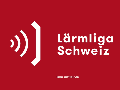

# Lärmliga<br>Schweiz

besser leiser unterwegs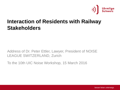

## **Interaction of Residents with Railway Stakeholders**

Address of Dr. Peter Ettler, Lawyer, President of NOISE LEAGUE SWITZERLAND, Zurich

To the 10th UIC Noise Workshop, 15 March 2016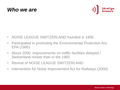



- NOISE LEAGUE SWITZERLAND founded in 1956
- Participated in promoting the Environmental Protection Act, EPA (1985)
- About 2000: Improvements on traffic facilities delayed / Switzerland noisier than in the 1960
- Revival of NOISE LEAGUE SWITZERLAND
- Intervention for Noise Improvement Act for Railways (2000)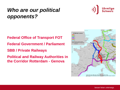# *Who are our political opponents?*

**Federal Office of Transport FOT Federal Government / Parliament SBB / Private Railways**

**Political and Railway Authorities in the Corridor Rotterdam - Genova** 



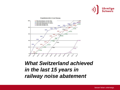



## *What Switzerland achieved in the last 15 years in railway noise abatement*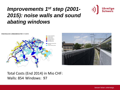# *Improvements 1 st step (2001- 2015): noise walls and sound abating windows*







Total Costs (End 2014) in Mio CHF: Walls: 854 Windows: 97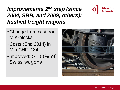# *Improvements 2 nd step (since 2004, SBB, and 2009, others): hushed freight wagons*



- Costs (End 2014) in Mio CHF: 184
- •Improved: >100% of Swiss wagons



Lärmliga  $\operatorname{\bf Schwe\check{i}\bar{z}}$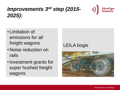# *Improvements 3 rd step (2015- 2025):*

- Limitation of emissions for *all* freight wagons
- Noise reduction on rails
- •Investment grants for super hushed freight wagons

#### LEILA bogie



Lärmliga  $\operatorname{\bf Schwe\check{i}\bar{z}}$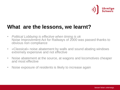

## **What are the lessons, we learnt?**

- *Political Lobbying is effective when timing is ok* Noise Improvement Act for Railways of 2000 was passed thanks to obvious non compliance
- «Classical» noise abatement by walls and sound abating windows extremely expensive and not effective
- Noise abatement at the source, at wagons and locomotives cheaper and most effective
- Noise exposure of residents is likely to increase again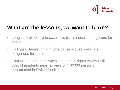

## **What are the lessons, we want to learn?**

- Long time exposure to excessive traffic noise is dangerous for health
- High peak levels in night time cause arousels and are dangerous for health
- Further hushing of railways is a human rights matter (still 38% of residents near railways or 140'000 persons unprotected in Switzerland)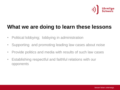

## **What we are doing to learn these lessons**

- Political lobbying; lobbying in administration
- Supporting and promoting leading law cases about noise
- Provide politics and media with results of such law cases
- Establishing respectful and faithful relations with our opponents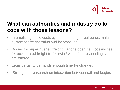

# **What can authorities and industry do to cope with those lessons?**

- Internalizing noise costs by implementing a real bonus malus system for freight trains and locomotives
- Bogies for super hushed freight wagons open new possibilites for accelerated freight traffic (win / win), if corresponding slots are offered
- Legal certainty demands enough time for changes
- Strengthen reasearch on interaction between rail and bogies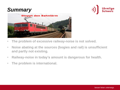## *Summary*





- **The problem of excessive railway-noise is not solved.**
- **Noise abating at the sources (bogies and rail) is unsufficient and partly not existing.**
- **Railway-noise in today's amount is dangerous for health.**
- **The problem is international.**